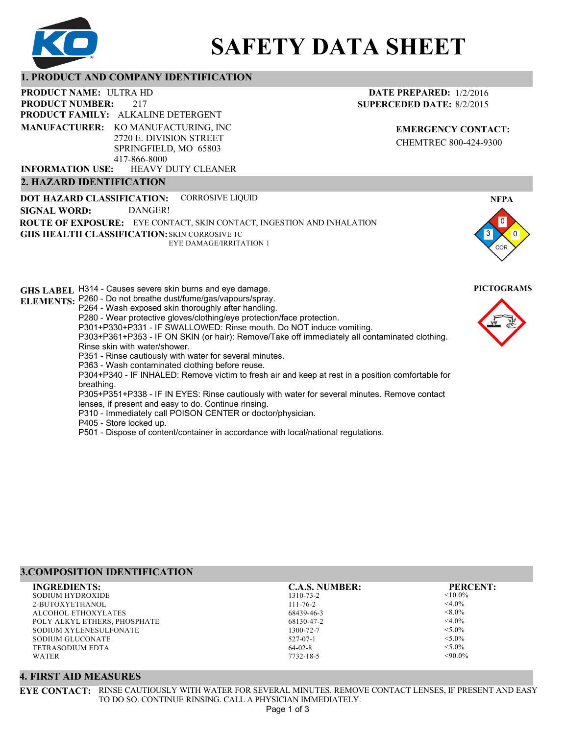

# **SAFETY DATA SHEET**

#### **1. PRODUCT AND COMPANY IDENTIFICATION**

217 **PRODUCT NAME: ULTRA HD PRODUCT FAMILY: ALKALINE DETERGENT** HEAVY DUTY CLEANER **PRODUCT NUMBER: MANUFACTURER:** KO MANUFACTURING, INC 2720 E. DIVISION STREET SPRINGFIELD, MO 65803 417-866-8000 **INFORMATION USE:**

**2. HAZARD IDENTIFICATION**

#### **DATE PREPARED:** 1/2/2016 **SUPERCEDED DATE:** 8/2/2015

**EMERGENCY CONTACT:** CHEMTREC 800-424-9300

**DOT HAZARD CLASSIFICATION: GHS HEALTH CLASSIFICATION:** SKIN CORROSIVE 1C **ROUTE OF EXPOSURE:** EYE CONTACT, SKIN CONTACT, INGESTION AND INHALATION **GHS LABEL**  H314 - Causes severe skin burns and eye damage. **PICTOGRAMS** CORROSIVE LIQUID EYE DAMAGE/IRRITATION 1 **SIGNAL WORD:** DANGER!

**ELEMENTS:** P260 - Do not breathe dust/fume/gas/vapours/spray. P264 - Wash exposed skin thoroughly after handling. P280 - Wear protective gloves/clothing/eye protection/face protection. P301+P330+P331 - IF SWALLOWED: Rinse mouth. Do NOT induce vomiting. P303+P361+P353 - IF ON SKIN (or hair): Remove/Take off immediately all contaminated clothing. Rinse skin with water/shower. P351 - Rinse cautiously with water for several minutes. P363 - Wash contaminated clothing before reuse. P304+P340 - IF INHALED: Remove victim to fresh air and keep at rest in a position comfortable for breathing. P305+P351+P338 - IF IN EYES: Rinse cautiously with water for several minutes. Remove contact lenses, if present and easy to do. Continue rinsing. P310 - Immediately call POISON CENTER or doctor/physician. P405 - Store locked up.

P501 - Dispose of content/container in accordance with local/national regulations.



3

0 0

**NFPA**

COR

#### **3.COMPOSITION IDENTIFICATION**

| <b>INGREDIENTS:</b>          | <b>C.A.S. NUMBER:</b> | <b>PERCENT:</b> |
|------------------------------|-----------------------|-----------------|
| SODIUM HYDROXIDE             | 1310-73-2             | $< 10.0\%$      |
| 2-BUTOXYETHANOL              | $111 - 76 - 2$        | $<$ 4.0%        |
| ALCOHOL ETHOXYLATES          | 68439-46-3            | $< 8.0\%$       |
| POLY ALKYL ETHERS, PHOSPHATE | 68130-47-2            | $<$ 4.0%        |
| SODIUM XYLENESULFONATE       | 1300-72-7             | $< 5.0\%$       |
| SODIUM GLUCONATE             | 527-07-1              | $< 5.0\%$       |
| TETRASODIUM EDTA             | $64-02-8$             | $< 5.0\%$       |
| <b>WATER</b>                 | 7732-18-5             | $<90.0\%$       |
|                              |                       |                 |

#### **4. FIRST AID MEASURES**

**EYE CONTACT:** RINSE CAUTIOUSLY WITH WATER FOR SEVERAL MINUTES. REMOVE CONTACT LENSES, IF PRESENT AND EASY TO DO SO. CONTINUE RINSING. CALL A PHYSICIAN IMMEDIATELY.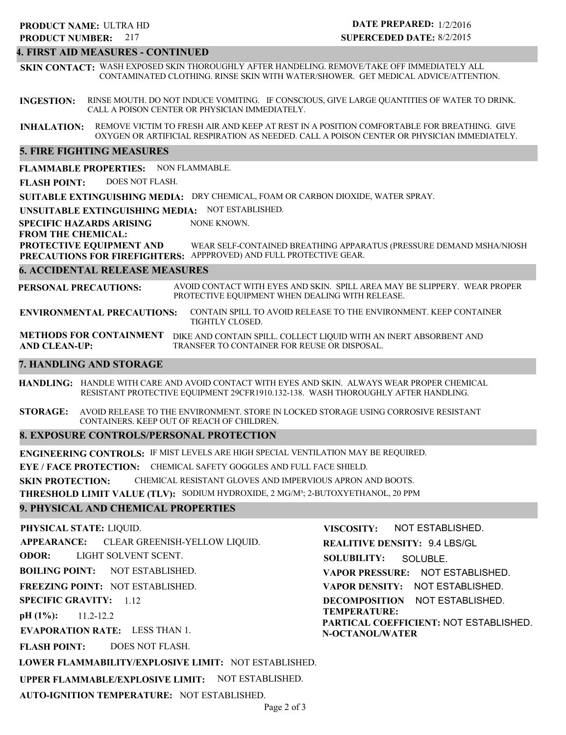# 217 **PRODUCT NUMBER: PRODUCT NAME: ULTRA HD**

# **DATE PREPARED:** 1/2/2016 **SUPERCEDED DATE:** 8/2/2015

# **4. FIRST AID MEASURES - CONTINUED**

**SKIN CONTACT:** WASH EXPOSED SKIN THOROUGHLY AFTER HANDELING. REMOVE/TAKE OFF IMMEDIATELY ALL CONTAMINATED CLOTHING. RINSE SKIN WITH WATER/SHOWER. GET MEDICAL ADVICE/ATTENTION.

**INGESTION:** RINSE MOUTH. DO NOT INDUCE VOMITING. IF CONSCIOUS, GIVE LARGE QUANTITIES OF WATER TO DRINK. CALL A POISON CENTER OR PHYSICIAN IMMEDIATELY.

**INHALATION:** REMOVE VICTIM TO FRESH AIR AND KEEP AT REST IN A POSITION COMFORTABLE FOR BREATHING. GIVE OXYGEN OR ARTIFICIAL RESPIRATION AS NEEDED. CALL A POISON CENTER OR PHYSICIAN IMMEDIATELY.

# **5. FIRE FIGHTING MEASURES**

**FLAMMABLE PROPERTIES:** NON FLAMMABLE.

**FLASH POINT:** DOES NOT FLASH.

**SUITABLE EXTINGUISHING MEDIA:** DRY CHEMICAL, FOAM OR CARBON DIOXIDE, WATER SPRAY.

**UNSUITABLE EXTINGUISHING MEDIA:** NOT ESTABLISHED.

**SPECIFIC HAZARDS ARISING** NONE KNOWN.

# **FROM THE CHEMICAL:**

**PROTECTIVE EQUIPMENT AND PRECAUTIONS FOR FIREFIGHTERS:** APPPROVED) AND FULL PROTECTIVE GEAR. WEAR SELF-CONTAINED BREATHING APPARATUS (PRESSURE DEMAND MSHA/NIOSH

# **6. ACCIDENTAL RELEASE MEASURES**

**PERSONAL PRECAUTIONS:** AVOID CONTACT WITH EYES AND SKIN. SPILL AREA MAY BE SLIPPERY. WEAR PROPER PROTECTIVE EQUIPMENT WHEN DEALING WITH RELEASE.

**ENVIRONMENTAL PRECAUTIONS:** CONTAIN SPILL TO AVOID RELEASE TO THE ENVIRONMENT. KEEP CONTAINER TIGHTLY CLOSED.

**METHODS FOR CONTAINMENT** DIKE AND CONTAIN SPILL. COLLECT LIQUID WITH AN INERT ABSORBENT AND **AND CLEAN-UP:** TRANSFER TO CONTAINER FOR REUSE OR DISPOSAL.

#### **7. HANDLING AND STORAGE**

**HANDLING:** HANDLE WITH CARE AND AVOID CONTACT WITH EYES AND SKIN. ALWAYS WEAR PROPER CHEMICAL RESISTANT PROTECTIVE EQUIPMENT 29CFR1910.132-138. WASH THOROUGHLY AFTER HANDLING.

**STORAGE:** AVOID RELEASE TO THE ENVIRONMENT. STORE IN LOCKED STORAGE USING CORROSIVE RESISTANT CONTAINERS. KEEP OUT OF REACH OF CHILDREN.

#### **8. EXPOSURE CONTROLS/PERSONAL PROTECTION**

**ENGINEERING CONTROLS:** IF MIST LEVELS ARE HIGH SPECIAL VENTILATION MAY BE REQUIRED. **EYE / FACE PROTECTION:** CHEMICAL SAFETY GOGGLES AND FULL FACE SHIELD. **SKIN PROTECTION:** CHEMICAL RESISTANT GLOVES AND IMPERVIOUS APRON AND BOOTS. **THRESHOLD LIMIT VALUE (TLV):** SODIUM HYDROXIDE, 2 MG/M³; 2-BUTOXYETHANOL, 20 PPM

# **9. PHYSICAL AND CHEMICAL PROPERTIES**

#### **PHYSICAL STATE:** LIQUID.

**APPEARANCE: ODOR: BOILING POINT:** NOT ESTABLISHED. CLEAR GREENISH-YELLOW LIQUID. LIGHT SOLVENT SCENT.

**FREEZING POINT:** NOT ESTABLISHED.

**SPECIFIC GRAVITY:** 1.12

**pH (1%):** 11.2-12.2

**EVAPORATION RATE:** LESS THAN 1.

**FLASH POINT:** DOES NOT FLASH.

**REALITIVE DENSITY:** 9.4 LBS/GL **SOLUBILITY: VAPOR PRESSURE:** NOT ESTABLISHED. **VAPOR DENSITY:** NOT ESTABLISHED. **DECOMPOSITION** NOT ESTABLISHED. **TEMPERATURE: PARTICAL COEFFICIENT:** NOT ESTABLISHED. **N-OCTANOL/WATER** SOLUBLE.

NOT ESTABLISHED.

**VISCOSITY:**

**LOWER FLAMMABILITY/EXPLOSIVE LIMIT:** NOT ESTABLISHED.

**UPPER FLAMMABLE/EXPLOSIVE LIMIT:** NOT ESTABLISHED.

**AUTO-IGNITION TEMPERATURE:** NOT ESTABLISHED.